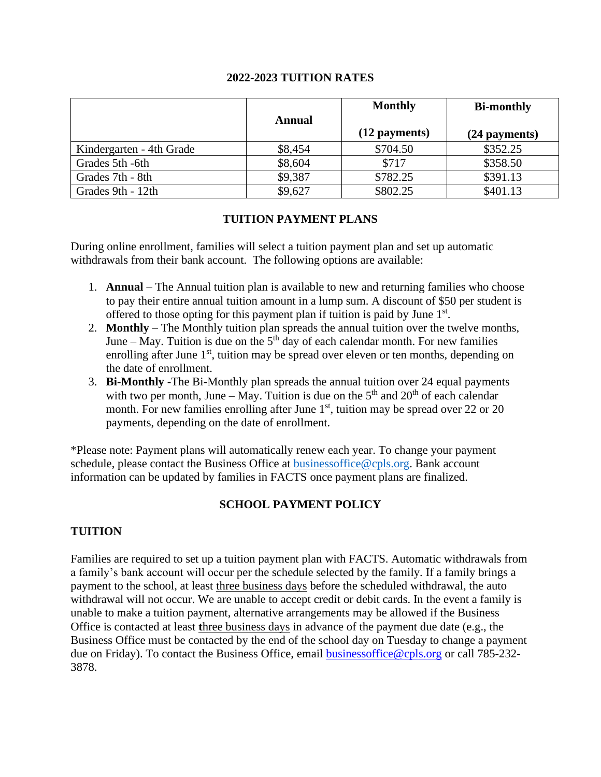#### **2022-2023 TUITION RATES**

|                          |         | <b>Monthly</b> | <b>Bi-monthly</b> |
|--------------------------|---------|----------------|-------------------|
|                          | Annual  | (12 payments)  | (24 payments)     |
| Kindergarten - 4th Grade | \$8,454 | \$704.50       | \$352.25          |
| Grades 5th -6th          | \$8,604 | \$717          | \$358.50          |
| Grades 7th - 8th         | \$9,387 | \$782.25       | \$391.13          |
| Grades 9th - 12th        | \$9,627 | \$802.25       | \$401.13          |

### **TUITION PAYMENT PLANS**

During online enrollment, families will select a tuition payment plan and set up automatic withdrawals from their bank account. The following options are available:

- 1. **Annual** The Annual tuition plan is available to new and returning families who choose to pay their entire annual tuition amount in a lump sum. A discount of \$50 per student is offered to those opting for this payment plan if tuition is paid by June  $1<sup>st</sup>$ .
- 2. **Monthly** The Monthly tuition plan spreads the annual tuition over the twelve months, June  $-$  May. Tuition is due on the  $5<sup>th</sup>$  day of each calendar month. For new families enrolling after June 1<sup>st</sup>, tuition may be spread over eleven or ten months, depending on the date of enrollment.
- 3. **Bi-Monthly** -The Bi-Monthly plan spreads the annual tuition over 24 equal payments with two per month, June – May. Tuition is due on the  $5<sup>th</sup>$  and  $20<sup>th</sup>$  of each calendar month. For new families enrolling after June  $1<sup>st</sup>$ , tuition may be spread over 22 or 20 payments, depending on the date of enrollment.

\*Please note: Payment plans will automatically renew each year. To change your payment schedule, please contact the Business Office at [businessoffice@cpls.org.](mailto:businessoffice@cpls.org) Bank account information can be updated by families in FACTS once payment plans are finalized.

#### **SCHOOL PAYMENT POLICY**

# **TUITION**

Families are required to set up a tuition payment plan with FACTS. Automatic withdrawals from a family's bank account will occur per the schedule selected by the family. If a family brings a payment to the school, at least three business days before the scheduled withdrawal, the auto withdrawal will not occur. We are unable to accept credit or debit cards. In the event a family is unable to make a tuition payment, alternative arrangements may be allowed if the Business Office is contacted at least **t**hree business days in advance of the payment due date (e.g., the Business Office must be contacted by the end of the school day on Tuesday to change a payment due on Friday). To contact the Business Office, email [businessoffice@cpls.org](mailto:businessoffice@cpls.org) or call 785-232- 3878.